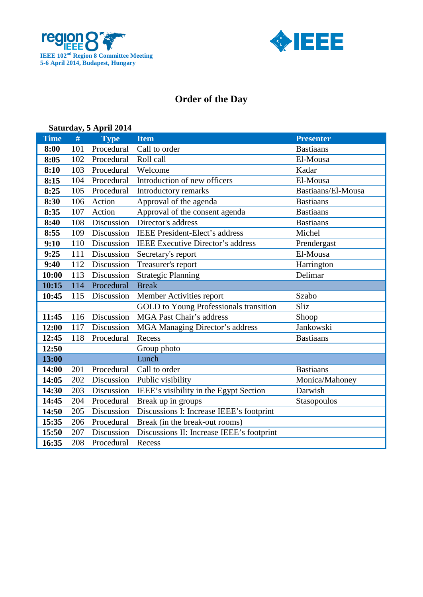



## **Order of the Day**

| Saturday, 5 April 2014 |      |             |                                           |                    |  |  |
|------------------------|------|-------------|-------------------------------------------|--------------------|--|--|
| <b>Time</b>            | $\#$ | <b>Type</b> | <b>Item</b>                               | <b>Presenter</b>   |  |  |
| 8:00                   | 101  | Procedural  | Call to order                             | <b>Bastiaans</b>   |  |  |
| 8:05                   | 102  | Procedural  | Roll call                                 | El-Mousa           |  |  |
| 8:10                   | 103  | Procedural  | Welcome                                   | Kadar              |  |  |
| 8:15                   | 104  | Procedural  | Introduction of new officers              | El-Mousa           |  |  |
| 8:25                   | 105  | Procedural  | Introductory remarks                      | Bastiaans/El-Mousa |  |  |
| 8:30                   | 106  | Action      | Approval of the agenda                    | <b>Bastiaans</b>   |  |  |
| 8:35                   | 107  | Action      | Approval of the consent agenda            | <b>Bastiaans</b>   |  |  |
| 8:40                   | 108  | Discussion  | Director's address                        | <b>Bastiaans</b>   |  |  |
| 8:55                   | 109  | Discussion  | <b>IEEE</b> President-Elect's address     | Michel             |  |  |
| 9:10                   | 110  | Discussion  | <b>IEEE</b> Executive Director's address  | Prendergast        |  |  |
| 9:25                   | 111  | Discussion  | Secretary's report                        | El-Mousa           |  |  |
| 9:40                   | 112  | Discussion  | Treasurer's report                        | Harrington         |  |  |
| 10:00                  | 113  | Discussion  | <b>Strategic Planning</b>                 | Delimar            |  |  |
| 10:15                  | 114  | Procedural  | <b>Break</b>                              |                    |  |  |
| 10:45                  | 115  | Discussion  | Member Activities report                  | Szabo              |  |  |
|                        |      |             | GOLD to Young Professionals transition    | Sliz               |  |  |
| 11:45                  | 116  | Discussion  | <b>MGA Past Chair's address</b>           | Shoop              |  |  |
| 12:00                  | 117  | Discussion  | <b>MGA Managing Director's address</b>    | Jankowski          |  |  |
| 12:45                  | 118  | Procedural  | Recess                                    | <b>Bastiaans</b>   |  |  |
| 12:50                  |      |             | Group photo                               |                    |  |  |
| 13:00                  |      |             | Lunch                                     |                    |  |  |
| 14:00                  | 201  | Procedural  | Call to order                             | <b>Bastiaans</b>   |  |  |
| 14:05                  | 202  | Discussion  | Public visibility                         | Monica/Mahoney     |  |  |
| 14:30                  | 203  | Discussion  | IEEE's visibility in the Egypt Section    | Darwish            |  |  |
| 14:45                  | 204  | Procedural  | Break up in groups                        | Stasopoulos        |  |  |
| 14:50                  | 205  | Discussion  | Discussions I: Increase IEEE's footprint  |                    |  |  |
| 15:35                  | 206  | Procedural  | Break (in the break-out rooms)            |                    |  |  |
| 15:50                  | 207  | Discussion  | Discussions II: Increase IEEE's footprint |                    |  |  |
| 16:35                  | 208  | Procedural  | Recess                                    |                    |  |  |